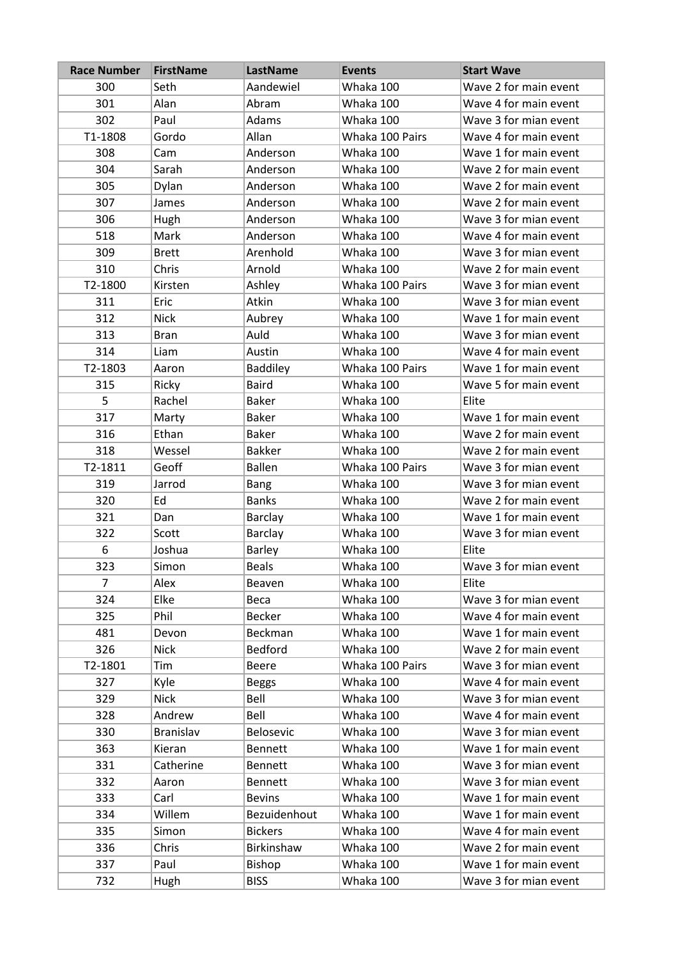| <b>Race Number</b> | <b>FirstName</b> | LastName        | <b>Events</b>   | <b>Start Wave</b>     |
|--------------------|------------------|-----------------|-----------------|-----------------------|
| 300                | Seth             | Aandewiel       | Whaka 100       | Wave 2 for main event |
| 301                | Alan             | Abram           | Whaka 100       | Wave 4 for main event |
| 302                | Paul             | Adams           | Whaka 100       | Wave 3 for mian event |
| T1-1808            | Gordo            | Allan           | Whaka 100 Pairs | Wave 4 for main event |
| 308                | Cam              | Anderson        | Whaka 100       | Wave 1 for main event |
| 304                | Sarah            | Anderson        | Whaka 100       | Wave 2 for main event |
| 305                | Dylan            | Anderson        | Whaka 100       | Wave 2 for main event |
| 307                | James            | Anderson        | Whaka 100       | Wave 2 for main event |
| 306                | Hugh             | Anderson        | Whaka 100       | Wave 3 for mian event |
| 518                | Mark             | Anderson        | Whaka 100       | Wave 4 for main event |
| 309                | <b>Brett</b>     | Arenhold        | Whaka 100       | Wave 3 for mian event |
| 310                | Chris            | Arnold          | Whaka 100       | Wave 2 for main event |
| T2-1800            | Kirsten          | Ashley          | Whaka 100 Pairs | Wave 3 for mian event |
| 311                | Eric             | Atkin           | Whaka 100       | Wave 3 for mian event |
| 312                | <b>Nick</b>      | Aubrey          | Whaka 100       | Wave 1 for main event |
| 313                | <b>Bran</b>      | Auld            | Whaka 100       | Wave 3 for mian event |
| 314                | Liam             | Austin          | Whaka 100       | Wave 4 for main event |
| T2-1803            | Aaron            | <b>Baddiley</b> | Whaka 100 Pairs | Wave 1 for main event |
| 315                | Ricky            | <b>Baird</b>    | Whaka 100       | Wave 5 for main event |
| 5                  | Rachel           | <b>Baker</b>    | Whaka 100       | Elite                 |
| 317                | Marty            | <b>Baker</b>    | Whaka 100       | Wave 1 for main event |
| 316                | Ethan            | <b>Baker</b>    | Whaka 100       | Wave 2 for main event |
| 318                | Wessel           | <b>Bakker</b>   | Whaka 100       | Wave 2 for main event |
| T2-1811            | Geoff            | <b>Ballen</b>   | Whaka 100 Pairs | Wave 3 for mian event |
| 319                | Jarrod           | Bang            | Whaka 100       | Wave 3 for mian event |
| 320                | Ed               | <b>Banks</b>    | Whaka 100       | Wave 2 for main event |
| 321                | Dan              | <b>Barclay</b>  | Whaka 100       | Wave 1 for main event |
| 322                | Scott            | <b>Barclay</b>  | Whaka 100       | Wave 3 for mian event |
| 6                  | Joshua           | Barley          | Whaka 100       | Elite                 |
| 323                | Simon            | <b>Beals</b>    | Whaka 100       | Wave 3 for mian event |
| 7                  | Alex             | Beaven          | Whaka 100       | Elite                 |
| 324                | Elke             | Beca            | Whaka 100       | Wave 3 for mian event |
| 325                | Phil             | <b>Becker</b>   | Whaka 100       | Wave 4 for main event |
| 481                | Devon            | Beckman         | Whaka 100       | Wave 1 for main event |
| 326                | <b>Nick</b>      | <b>Bedford</b>  | Whaka 100       | Wave 2 for main event |
| T2-1801            | Tim              | <b>Beere</b>    | Whaka 100 Pairs | Wave 3 for mian event |
| 327                | Kyle             | <b>Beggs</b>    | Whaka 100       | Wave 4 for main event |
| 329                | <b>Nick</b>      | Bell            | Whaka 100       | Wave 3 for mian event |
| 328                | Andrew           | Bell            | Whaka 100       | Wave 4 for main event |
| 330                | Branislav        | Belosevic       | Whaka 100       | Wave 3 for mian event |
| 363                | Kieran           | Bennett         | Whaka 100       | Wave 1 for main event |
| 331                | Catherine        | <b>Bennett</b>  | Whaka 100       | Wave 3 for mian event |
| 332                | Aaron            | Bennett         | Whaka 100       | Wave 3 for mian event |
| 333                | Carl             | <b>Bevins</b>   | Whaka 100       | Wave 1 for main event |
| 334                | Willem           | Bezuidenhout    | Whaka 100       | Wave 1 for main event |
| 335                | Simon            | <b>Bickers</b>  | Whaka 100       | Wave 4 for main event |
| 336                | Chris            | Birkinshaw      | Whaka 100       | Wave 2 for main event |
| 337                | Paul             | Bishop          | Whaka 100       | Wave 1 for main event |
| 732                | Hugh             | <b>BISS</b>     | Whaka 100       | Wave 3 for mian event |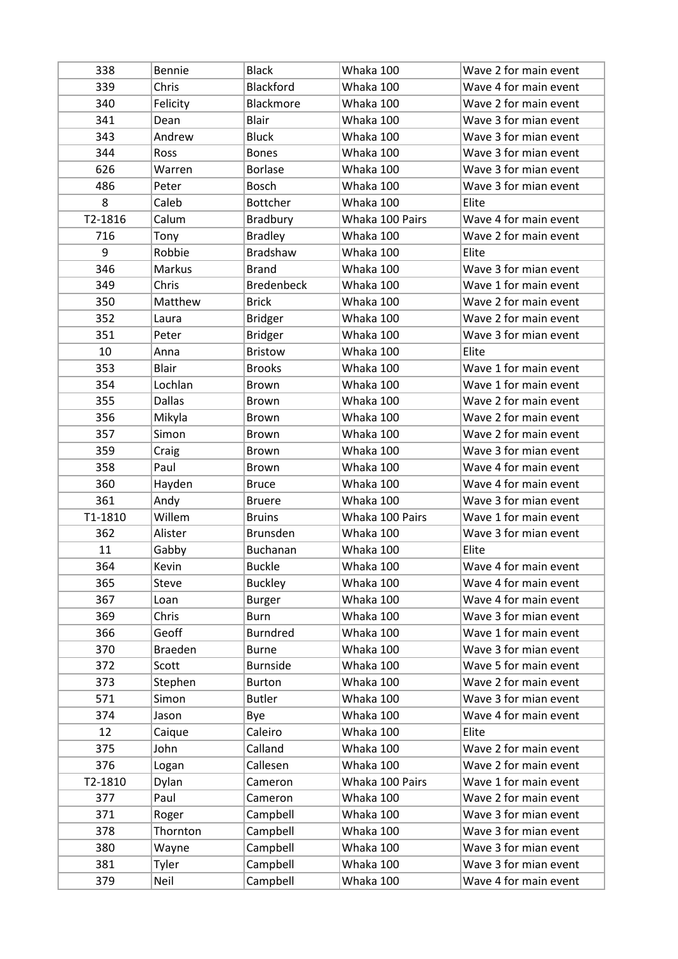| 338     | Bennie         | <b>Black</b>                     | Whaka 100              | Wave 2 for main event                          |
|---------|----------------|----------------------------------|------------------------|------------------------------------------------|
| 339     | Chris          | Blackford                        | Whaka 100              | Wave 4 for main event                          |
| 340     | Felicity       | Blackmore                        | Whaka 100              | Wave 2 for main event                          |
| 341     | Dean           | <b>Blair</b>                     | Whaka 100              | Wave 3 for mian event                          |
| 343     | Andrew         | <b>Bluck</b>                     | Whaka 100              | Wave 3 for mian event                          |
| 344     | Ross           | <b>Bones</b>                     | Whaka 100              | Wave 3 for mian event                          |
| 626     | Warren         | <b>Borlase</b>                   | Whaka 100              | Wave 3 for mian event                          |
| 486     | Peter          | <b>Bosch</b>                     | Whaka 100              | Wave 3 for mian event                          |
| 8       | Caleb          | <b>Bottcher</b>                  | Whaka 100              | Elite                                          |
| T2-1816 | Calum          | <b>Bradbury</b>                  | Whaka 100 Pairs        | Wave 4 for main event                          |
| 716     | Tony           | <b>Bradley</b>                   | Whaka 100              | Wave 2 for main event                          |
| 9       | Robbie         | <b>Bradshaw</b>                  | Whaka 100              | Elite                                          |
| 346     | Markus         | <b>Brand</b>                     | Whaka 100              | Wave 3 for mian event                          |
| 349     | Chris          | <b>Bredenbeck</b>                | Whaka 100              | Wave 1 for main event                          |
| 350     | Matthew        | <b>Brick</b>                     | Whaka 100              | Wave 2 for main event                          |
| 352     | Laura          | <b>Bridger</b>                   | Whaka 100              | Wave 2 for main event                          |
| 351     | Peter          | <b>Bridger</b>                   | Whaka 100              | Wave 3 for mian event                          |
| 10      | Anna           | <b>Bristow</b>                   | Whaka 100              | Elite                                          |
| 353     | <b>Blair</b>   | <b>Brooks</b>                    | Whaka 100              | Wave 1 for main event                          |
| 354     | Lochlan        | Brown                            | Whaka 100              | Wave 1 for main event                          |
| 355     | <b>Dallas</b>  | Brown                            | Whaka 100              | Wave 2 for main event                          |
| 356     | Mikyla         | Brown                            | Whaka 100              | Wave 2 for main event                          |
| 357     | Simon          | <b>Brown</b>                     | Whaka 100              | Wave 2 for main event                          |
| 359     | Craig          | Brown                            | Whaka 100              | Wave 3 for mian event                          |
| 358     | Paul           | Brown                            | Whaka 100              | Wave 4 for main event                          |
| 360     | Hayden         | <b>Bruce</b>                     | Whaka 100              | Wave 4 for main event                          |
| 361     | Andy           | <b>Bruere</b>                    | Whaka 100              | Wave 3 for mian event                          |
| T1-1810 | Willem         | <b>Bruins</b>                    | Whaka 100 Pairs        | Wave 1 for main event                          |
| 362     | Alister        | <b>Brunsden</b>                  | Whaka 100              | Wave 3 for mian event                          |
| 11      | Gabby          | <b>Buchanan</b>                  | Whaka 100              | Elite                                          |
| 364     | Kevin          | <b>Buckle</b>                    | Whaka 100              | Wave 4 for main event                          |
| 365     | Steve          | <b>Buckley</b>                   | Whaka 100              | Wave 4 for main event                          |
| 367     | Loan           | Burger                           | Whaka 100              | Wave 4 for main event                          |
| 369     | Chris          | <b>Burn</b>                      | Whaka 100              | Wave 3 for mian event                          |
| 366     | Geoff          | <b>Burndred</b>                  | Whaka 100              | Wave 1 for main event                          |
| 370     | <b>Braeden</b> | <b>Burne</b>                     | Whaka 100              | Wave 3 for mian event                          |
|         |                |                                  | Whaka 100              | Wave 5 for main event                          |
| 372     | Scott          | <b>Burnside</b><br><b>Burton</b> | Whaka 100              | Wave 2 for main event                          |
| 373     | Stephen        | <b>Butler</b>                    | Whaka 100              |                                                |
| 571     | Simon<br>Jason |                                  | Whaka 100              | Wave 3 for mian event                          |
| 374     |                | Bye                              | Whaka 100              | Wave 4 for main event                          |
| 12      | Caique         | Caleiro                          |                        | Elite                                          |
| 375     | John           | Calland                          | Whaka 100              | Wave 2 for main event                          |
| 376     | Logan          | Callesen                         | Whaka 100              | Wave 2 for main event                          |
| T2-1810 | Dylan          | Cameron                          | Whaka 100 Pairs        | Wave 1 for main event                          |
| 377     | Paul           | Cameron                          | Whaka 100              | Wave 2 for main event                          |
| 371     | Roger          | Campbell                         | Whaka 100              | Wave 3 for mian event                          |
| 378     | Thornton       | Campbell                         | Whaka 100              | Wave 3 for mian event                          |
| 380     | Wayne          | Campbell                         | Whaka 100              | Wave 3 for mian event                          |
| 381     |                |                                  |                        |                                                |
| 379     | Tyler<br>Neil  | Campbell<br>Campbell             | Whaka 100<br>Whaka 100 | Wave 3 for mian event<br>Wave 4 for main event |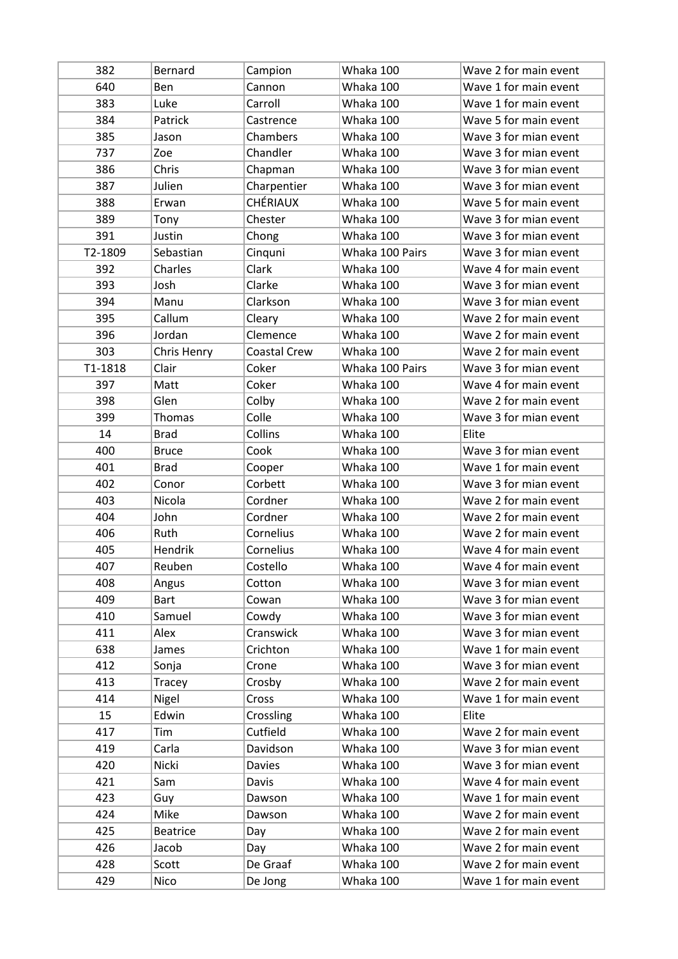| 382     | Bernard         | Campion             | Whaka 100       | Wave 2 for main event |
|---------|-----------------|---------------------|-----------------|-----------------------|
| 640     | Ben             | Cannon              | Whaka 100       | Wave 1 for main event |
| 383     | Luke            | Carroll             | Whaka 100       | Wave 1 for main event |
| 384     | Patrick         | Castrence           | Whaka 100       | Wave 5 for main event |
| 385     | Jason           | Chambers            | Whaka 100       | Wave 3 for mian event |
| 737     | Zoe             | Chandler            | Whaka 100       | Wave 3 for mian event |
| 386     | Chris           | Chapman             | Whaka 100       | Wave 3 for mian event |
| 387     | Julien          | Charpentier         | Whaka 100       | Wave 3 for mian event |
| 388     | Erwan           | <b>CHÉRIAUX</b>     | Whaka 100       | Wave 5 for main event |
| 389     | Tony            | Chester             | Whaka 100       | Wave 3 for mian event |
| 391     | Justin          | Chong               | Whaka 100       | Wave 3 for mian event |
| T2-1809 | Sebastian       | Cinquni             | Whaka 100 Pairs | Wave 3 for mian event |
| 392     | Charles         | Clark               | Whaka 100       | Wave 4 for main event |
| 393     | Josh            | Clarke              | Whaka 100       | Wave 3 for mian event |
| 394     | Manu            | Clarkson            | Whaka 100       | Wave 3 for mian event |
| 395     | Callum          | Cleary              | Whaka 100       | Wave 2 for main event |
| 396     | Jordan          | Clemence            | Whaka 100       | Wave 2 for main event |
| 303     | Chris Henry     | <b>Coastal Crew</b> | Whaka 100       | Wave 2 for main event |
| T1-1818 | Clair           | Coker               | Whaka 100 Pairs | Wave 3 for mian event |
| 397     | Matt            | Coker               | Whaka 100       | Wave 4 for main event |
| 398     | Glen            | Colby               | Whaka 100       | Wave 2 for main event |
| 399     | Thomas          | Colle               | Whaka 100       | Wave 3 for mian event |
| 14      | <b>Brad</b>     | Collins             | Whaka 100       | Elite                 |
| 400     | <b>Bruce</b>    | Cook                | Whaka 100       | Wave 3 for mian event |
| 401     | <b>Brad</b>     | Cooper              | Whaka 100       | Wave 1 for main event |
| 402     | Conor           | Corbett             | Whaka 100       | Wave 3 for mian event |
| 403     | Nicola          | Cordner             | Whaka 100       | Wave 2 for main event |
| 404     | John            | Cordner             | Whaka 100       | Wave 2 for main event |
| 406     | Ruth            | Cornelius           | Whaka 100       | Wave 2 for main event |
| 405     | Hendrik         | Cornelius           | Whaka 100       | Wave 4 for main event |
| 407     | Reuben          | Costello            | Whaka 100       | Wave 4 for main event |
| 408     | Angus           | Cotton              | Whaka 100       | Wave 3 for mian event |
| 409     | <b>Bart</b>     | Cowan               | Whaka 100       | Wave 3 for mian event |
| 410     | Samuel          | Cowdy               | Whaka 100       | Wave 3 for mian event |
| 411     | Alex            | Cranswick           | Whaka 100       | Wave 3 for mian event |
| 638     | James           | Crichton            | Whaka 100       | Wave 1 for main event |
| 412     | Sonja           | Crone               | Whaka 100       | Wave 3 for mian event |
| 413     | Tracey          | Crosby              | Whaka 100       | Wave 2 for main event |
| 414     | Nigel           | Cross               | Whaka 100       | Wave 1 for main event |
| 15      | Edwin           | Crossling           | Whaka 100       | Elite                 |
| 417     | Tim             | Cutfield            | Whaka 100       | Wave 2 for main event |
| 419     | Carla           | Davidson            | Whaka 100       | Wave 3 for mian event |
| 420     | Nicki           | <b>Davies</b>       | Whaka 100       | Wave 3 for mian event |
| 421     | Sam             | Davis               | Whaka 100       | Wave 4 for main event |
| 423     | Guy             | Dawson              | Whaka 100       | Wave 1 for main event |
| 424     | Mike            | Dawson              | Whaka 100       | Wave 2 for main event |
| 425     | <b>Beatrice</b> | Day                 | Whaka 100       | Wave 2 for main event |
| 426     | Jacob           | Day                 | Whaka 100       | Wave 2 for main event |
| 428     | Scott           | De Graaf            | Whaka 100       | Wave 2 for main event |
| 429     | Nico            | De Jong             | Whaka 100       | Wave 1 for main event |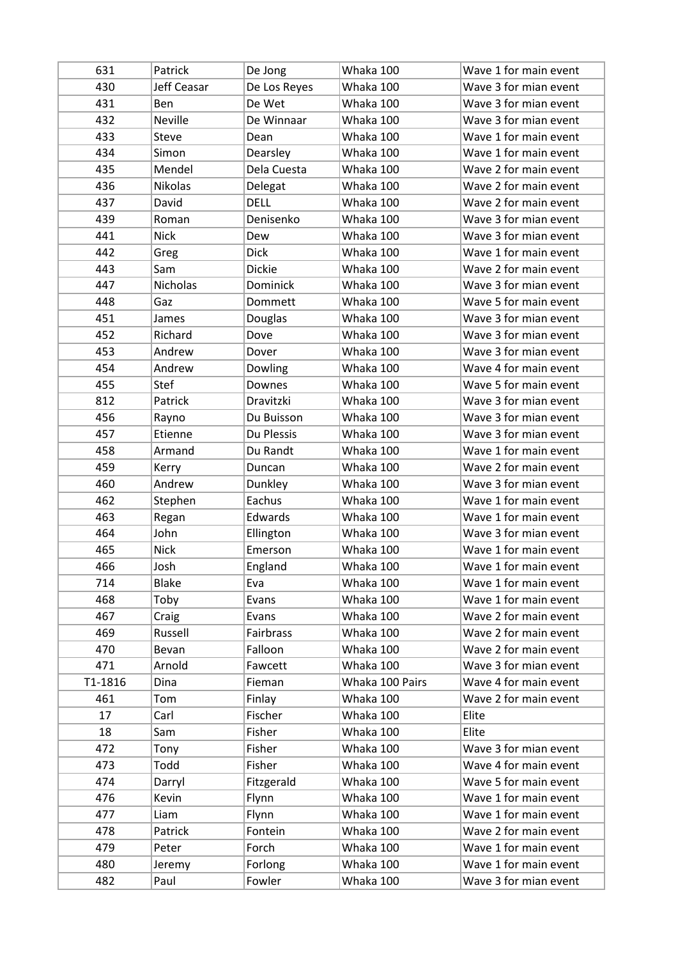| 631     | Patrick        | De Jong          | Whaka 100       | Wave 1 for main event |
|---------|----------------|------------------|-----------------|-----------------------|
| 430     | Jeff Ceasar    | De Los Reyes     | Whaka 100       | Wave 3 for mian event |
| 431     | Ben            | De Wet           | Whaka 100       | Wave 3 for mian event |
| 432     | <b>Neville</b> | De Winnaar       | Whaka 100       | Wave 3 for mian event |
| 433     | Steve          | Dean             | Whaka 100       | Wave 1 for main event |
| 434     | Simon          | Dearsley         | Whaka 100       | Wave 1 for main event |
| 435     | Mendel         | Dela Cuesta      | Whaka 100       | Wave 2 for main event |
| 436     | <b>Nikolas</b> | Delegat          | Whaka 100       | Wave 2 for main event |
| 437     | David          | <b>DELL</b>      | Whaka 100       | Wave 2 for main event |
| 439     | Roman          | Denisenko        | Whaka 100       | Wave 3 for mian event |
| 441     | <b>Nick</b>    | Dew              | Whaka 100       | Wave 3 for mian event |
| 442     | Greg           | <b>Dick</b>      | Whaka 100       | Wave 1 for main event |
| 443     | Sam            | <b>Dickie</b>    | Whaka 100       | Wave 2 for main event |
| 447     | Nicholas       | Dominick         | Whaka 100       | Wave 3 for mian event |
| 448     | Gaz            | Dommett          | Whaka 100       | Wave 5 for main event |
| 451     | James          | Douglas          | Whaka 100       | Wave 3 for mian event |
| 452     | Richard        | Dove             | Whaka 100       | Wave 3 for mian event |
| 453     | Andrew         | Dover            | Whaka 100       | Wave 3 for mian event |
| 454     | Andrew         | Dowling          | Whaka 100       | Wave 4 for main event |
| 455     | Stef           | Downes           | Whaka 100       | Wave 5 for main event |
| 812     | Patrick        | Dravitzki        | Whaka 100       | Wave 3 for mian event |
| 456     | Rayno          | Du Buisson       | Whaka 100       | Wave 3 for mian event |
| 457     | Etienne        | Du Plessis       | Whaka 100       | Wave 3 for mian event |
| 458     | Armand         | Du Randt         | Whaka 100       | Wave 1 for main event |
| 459     | Kerry          | Duncan           | Whaka 100       | Wave 2 for main event |
| 460     | Andrew         | Dunkley          | Whaka 100       | Wave 3 for mian event |
| 462     | Stephen        | Eachus           | Whaka 100       | Wave 1 for main event |
| 463     | Regan          | Edwards          | Whaka 100       | Wave 1 for main event |
| 464     | John           | Ellington        | Whaka 100       | Wave 3 for mian event |
| 465     | <b>Nick</b>    | Emerson          | Whaka 100       | Wave 1 for main event |
| 466     | Josh           | England          | Whaka 100       | Wave 1 for main event |
| 714     | <b>Blake</b>   | Eva              | Whaka 100       | Wave 1 for main event |
| 468     | Toby           | Evans            | Whaka 100       | Wave 1 for main event |
| 467     | Craig          | Evans            | Whaka 100       | Wave 2 for main event |
| 469     | Russell        | <b>Fairbrass</b> | Whaka 100       | Wave 2 for main event |
| 470     | Bevan          | Falloon          | Whaka 100       | Wave 2 for main event |
| 471     | Arnold         | Fawcett          | Whaka 100       | Wave 3 for mian event |
| T1-1816 | Dina           | Fieman           | Whaka 100 Pairs | Wave 4 for main event |
| 461     | Tom            | Finlay           | Whaka 100       | Wave 2 for main event |
| 17      | Carl           | Fischer          | Whaka 100       | Elite                 |
| 18      | Sam            | Fisher           | Whaka 100       | Elite                 |
| 472     | Tony           | Fisher           | Whaka 100       | Wave 3 for mian event |
| 473     | Todd           | Fisher           | Whaka 100       | Wave 4 for main event |
| 474     | Darryl         | Fitzgerald       | Whaka 100       | Wave 5 for main event |
| 476     | Kevin          | Flynn            | Whaka 100       | Wave 1 for main event |
| 477     | Liam           | Flynn            | Whaka 100       | Wave 1 for main event |
| 478     | Patrick        | Fontein          | Whaka 100       | Wave 2 for main event |
| 479     | Peter          | Forch            | Whaka 100       | Wave 1 for main event |
| 480     | Jeremy         | Forlong          | Whaka 100       | Wave 1 for main event |
| 482     | Paul           | Fowler           | Whaka 100       | Wave 3 for mian event |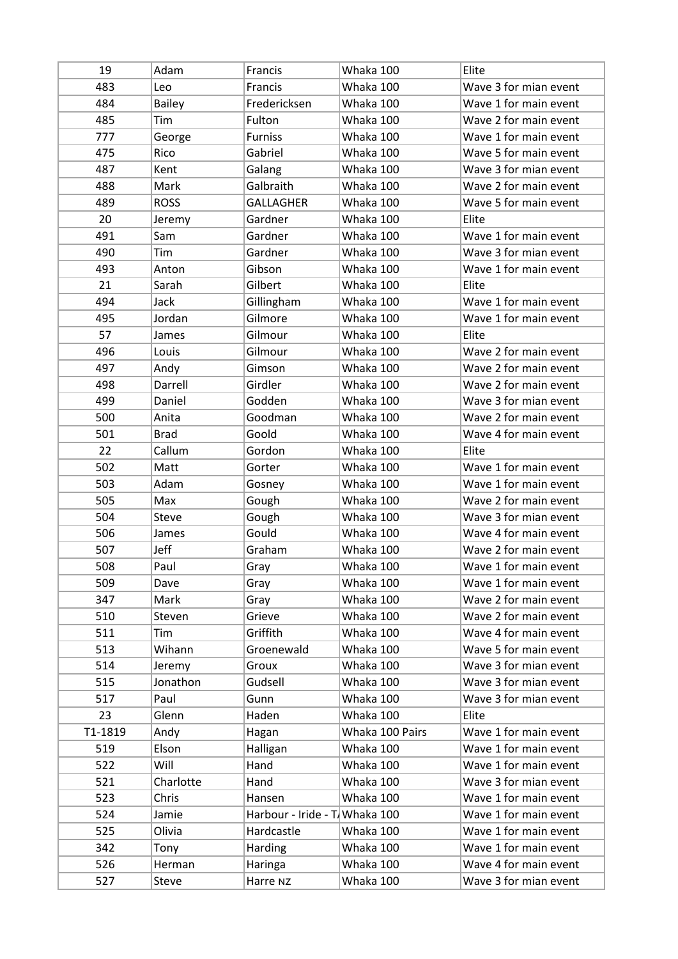| 19      | Adam          | Francis                       | Whaka 100       | Elite                 |
|---------|---------------|-------------------------------|-----------------|-----------------------|
| 483     | Leo           | Francis                       | Whaka 100       | Wave 3 for mian event |
| 484     | <b>Bailey</b> | Fredericksen                  | Whaka 100       | Wave 1 for main event |
| 485     | Tim           | Fulton                        | Whaka 100       | Wave 2 for main event |
| 777     | George        | <b>Furniss</b>                | Whaka 100       | Wave 1 for main event |
| 475     | Rico          | Gabriel                       | Whaka 100       | Wave 5 for main event |
| 487     | Kent          | Galang                        | Whaka 100       | Wave 3 for mian event |
| 488     | Mark          | Galbraith                     | Whaka 100       | Wave 2 for main event |
| 489     | <b>ROSS</b>   | <b>GALLAGHER</b>              | Whaka 100       | Wave 5 for main event |
| 20      | Jeremy        | Gardner                       | Whaka 100       | Elite                 |
| 491     | Sam           | Gardner                       | Whaka 100       | Wave 1 for main event |
| 490     | Tim           | Gardner                       | Whaka 100       | Wave 3 for mian event |
| 493     | Anton         | Gibson                        | Whaka 100       | Wave 1 for main event |
| 21      | Sarah         | Gilbert                       | Whaka 100       | Elite                 |
| 494     | Jack          | Gillingham                    | Whaka 100       | Wave 1 for main event |
| 495     | Jordan        | Gilmore                       | Whaka 100       | Wave 1 for main event |
| 57      | James         | Gilmour                       | Whaka 100       | Elite                 |
| 496     | Louis         | Gilmour                       | Whaka 100       | Wave 2 for main event |
| 497     | Andy          | Gimson                        | Whaka 100       | Wave 2 for main event |
| 498     | Darrell       | Girdler                       | Whaka 100       | Wave 2 for main event |
| 499     | Daniel        | Godden                        | Whaka 100       | Wave 3 for mian event |
| 500     | Anita         | Goodman                       | Whaka 100       | Wave 2 for main event |
| 501     | <b>Brad</b>   | Goold                         | Whaka 100       | Wave 4 for main event |
| 22      | Callum        | Gordon                        | Whaka 100       | Elite                 |
| 502     | Matt          | Gorter                        | Whaka 100       | Wave 1 for main event |
| 503     | Adam          | Gosney                        | Whaka 100       | Wave 1 for main event |
| 505     | Max           | Gough                         | Whaka 100       | Wave 2 for main event |
| 504     | <b>Steve</b>  | Gough                         | Whaka 100       | Wave 3 for mian event |
| 506     | James         | Gould                         | Whaka 100       | Wave 4 for main event |
| 507     | Jeff          | Graham                        | Whaka 100       | Wave 2 for main event |
| 508     | Paul          | Gray                          | Whaka 100       | Wave 1 for main event |
| 509     | Dave          | Gray                          | Whaka 100       | Wave 1 for main event |
| 347     | Mark          | Gray                          | Whaka 100       | Wave 2 for main event |
| 510     | Steven        | Grieve                        | Whaka 100       | Wave 2 for main event |
| 511     | Tim           | Griffith                      | Whaka 100       | Wave 4 for main event |
| 513     | Wihann        | Groenewald                    | Whaka 100       | Wave 5 for main event |
| 514     | Jeremy        | Groux                         | Whaka 100       | Wave 3 for mian event |
| 515     | Jonathon      | Gudsell                       | Whaka 100       | Wave 3 for mian event |
| 517     | Paul          | Gunn                          | Whaka 100       | Wave 3 for mian event |
| 23      | Glenn         | Haden                         | Whaka 100       | Elite                 |
| T1-1819 | Andy          | Hagan                         | Whaka 100 Pairs | Wave 1 for main event |
| 519     | Elson         | Halligan                      | Whaka 100       | Wave 1 for main event |
| 522     | Will          | Hand                          | Whaka 100       | Wave 1 for main event |
| 521     | Charlotte     | Hand                          | Whaka 100       | Wave 3 for mian event |
| 523     | Chris         | Hansen                        | Whaka 100       | Wave 1 for main event |
| 524     | Jamie         | Harbour - Iride - T Whaka 100 |                 | Wave 1 for main event |
| 525     | Olivia        | Hardcastle                    | Whaka 100       | Wave 1 for main event |
|         |               | Harding                       | Whaka 100       | Wave 1 for main event |
| 342     | Tony          |                               |                 |                       |
| 526     | Herman        | Haringa                       | Whaka 100       | Wave 4 for main event |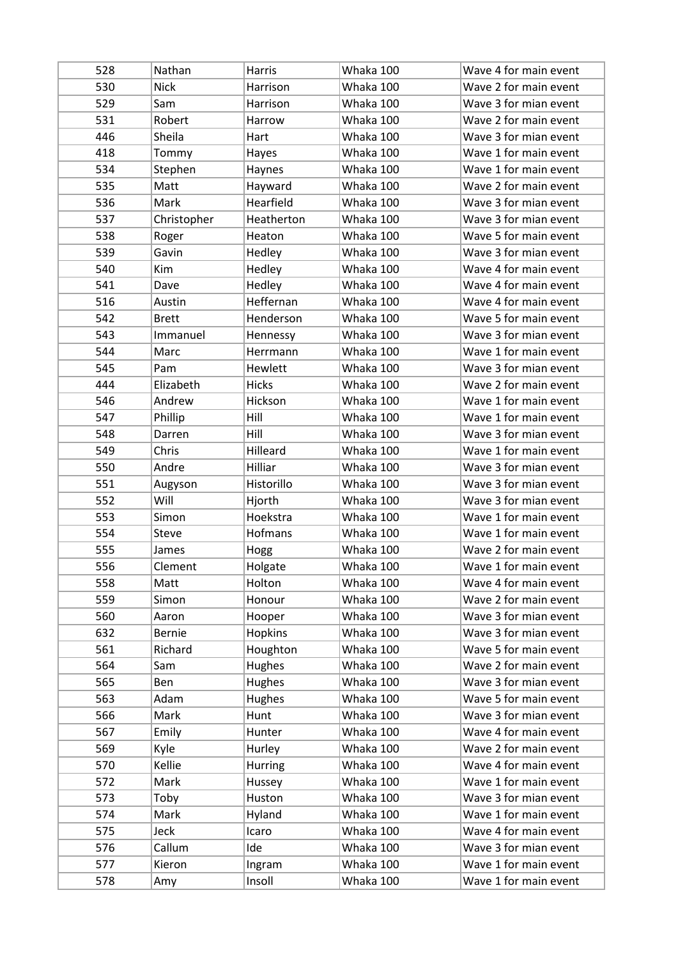| 528 | Nathan        | Harris        | Whaka 100 | Wave 4 for main event |
|-----|---------------|---------------|-----------|-----------------------|
| 530 | <b>Nick</b>   | Harrison      | Whaka 100 | Wave 2 for main event |
| 529 | Sam           | Harrison      | Whaka 100 | Wave 3 for mian event |
| 531 | Robert        | Harrow        | Whaka 100 | Wave 2 for main event |
| 446 | Sheila        | Hart          | Whaka 100 | Wave 3 for mian event |
| 418 | Tommy         | Hayes         | Whaka 100 | Wave 1 for main event |
| 534 | Stephen       | Haynes        | Whaka 100 | Wave 1 for main event |
| 535 | Matt          | Hayward       | Whaka 100 | Wave 2 for main event |
| 536 | Mark          | Hearfield     | Whaka 100 | Wave 3 for mian event |
| 537 | Christopher   | Heatherton    | Whaka 100 | Wave 3 for mian event |
| 538 | Roger         | Heaton        | Whaka 100 | Wave 5 for main event |
| 539 | Gavin         | Hedley        | Whaka 100 | Wave 3 for mian event |
| 540 | Kim           | Hedley        | Whaka 100 | Wave 4 for main event |
| 541 | Dave          | Hedley        | Whaka 100 | Wave 4 for main event |
| 516 | Austin        | Heffernan     | Whaka 100 | Wave 4 for main event |
| 542 | <b>Brett</b>  | Henderson     | Whaka 100 | Wave 5 for main event |
| 543 | Immanuel      | Hennessy      | Whaka 100 | Wave 3 for mian event |
| 544 | Marc          | Herrmann      | Whaka 100 | Wave 1 for main event |
| 545 | Pam           | Hewlett       | Whaka 100 | Wave 3 for mian event |
| 444 | Elizabeth     | <b>Hicks</b>  | Whaka 100 | Wave 2 for main event |
| 546 | Andrew        | Hickson       | Whaka 100 | Wave 1 for main event |
| 547 | Phillip       | Hill          | Whaka 100 | Wave 1 for main event |
| 548 | Darren        | Hill          | Whaka 100 | Wave 3 for mian event |
| 549 | Chris         | Hilleard      | Whaka 100 | Wave 1 for main event |
| 550 | Andre         | Hilliar       | Whaka 100 | Wave 3 for mian event |
| 551 | Augyson       | Historillo    | Whaka 100 | Wave 3 for mian event |
| 552 | Will          | Hjorth        | Whaka 100 | Wave 3 for mian event |
| 553 | Simon         | Hoekstra      | Whaka 100 | Wave 1 for main event |
| 554 | Steve         | Hofmans       | Whaka 100 | Wave 1 for main event |
| 555 | James         | Hogg          | Whaka 100 | Wave 2 for main event |
| 556 | Clement       | Holgate       | Whaka 100 | Wave 1 for main event |
| 558 | Matt          | Holton        | Whaka 100 | Wave 4 for main event |
| 559 | Simon         | Honour        | Whaka 100 | Wave 2 for main event |
| 560 | Aaron         | Hooper        | Whaka 100 | Wave 3 for mian event |
| 632 | <b>Bernie</b> | Hopkins       | Whaka 100 | Wave 3 for mian event |
| 561 | Richard       | Houghton      | Whaka 100 | Wave 5 for main event |
| 564 | Sam           | <b>Hughes</b> | Whaka 100 | Wave 2 for main event |
| 565 | Ben           | Hughes        | Whaka 100 | Wave 3 for mian event |
| 563 | Adam          | <b>Hughes</b> | Whaka 100 | Wave 5 for main event |
| 566 | Mark          | Hunt          | Whaka 100 | Wave 3 for mian event |
| 567 | Emily         | Hunter        | Whaka 100 | Wave 4 for main event |
| 569 | Kyle          | Hurley        | Whaka 100 | Wave 2 for main event |
| 570 | Kellie        | Hurring       | Whaka 100 | Wave 4 for main event |
| 572 | Mark          | Hussey        | Whaka 100 | Wave 1 for main event |
| 573 | Toby          | Huston        | Whaka 100 | Wave 3 for mian event |
| 574 | Mark          | Hyland        | Whaka 100 | Wave 1 for main event |
| 575 | Jeck          | Icaro         | Whaka 100 | Wave 4 for main event |
| 576 | Callum        | Ide           | Whaka 100 | Wave 3 for mian event |
| 577 | Kieron        | Ingram        | Whaka 100 | Wave 1 for main event |
| 578 | Amy           | Insoll        | Whaka 100 | Wave 1 for main event |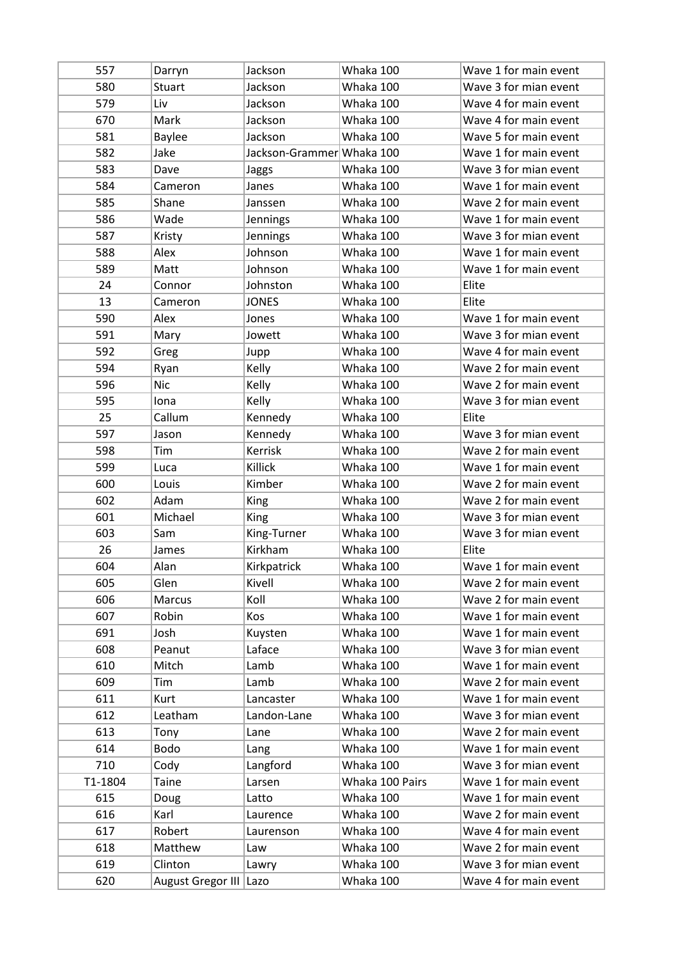| 557     | Darryn                 | Jackson                   | Whaka 100       | Wave 1 for main event |
|---------|------------------------|---------------------------|-----------------|-----------------------|
| 580     | <b>Stuart</b>          | Jackson                   | Whaka 100       | Wave 3 for mian event |
| 579     | Liv                    | Jackson                   | Whaka 100       | Wave 4 for main event |
| 670     | Mark                   | Jackson                   | Whaka 100       | Wave 4 for main event |
| 581     | <b>Baylee</b>          | Jackson                   | Whaka 100       | Wave 5 for main event |
| 582     | Jake                   | Jackson-Grammer Whaka 100 |                 | Wave 1 for main event |
| 583     | Dave                   | Jaggs                     | Whaka 100       | Wave 3 for mian event |
| 584     | Cameron                | Janes                     | Whaka 100       | Wave 1 for main event |
| 585     | Shane                  | Janssen                   | Whaka 100       | Wave 2 for main event |
| 586     | Wade                   | Jennings                  | Whaka 100       | Wave 1 for main event |
| 587     | Kristy                 | Jennings                  | Whaka 100       | Wave 3 for mian event |
| 588     | Alex                   | Johnson                   | Whaka 100       | Wave 1 for main event |
| 589     | Matt                   | Johnson                   | Whaka 100       | Wave 1 for main event |
| 24      | Connor                 | Johnston                  | Whaka 100       | Elite                 |
| 13      | Cameron                | <b>JONES</b>              | Whaka 100       | Elite                 |
| 590     | Alex                   | Jones                     | Whaka 100       | Wave 1 for main event |
| 591     | Mary                   | Jowett                    | Whaka 100       | Wave 3 for mian event |
| 592     | Greg                   | Jupp                      | Whaka 100       | Wave 4 for main event |
| 594     | Ryan                   | Kelly                     | Whaka 100       | Wave 2 for main event |
| 596     | <b>Nic</b>             | Kelly                     | Whaka 100       | Wave 2 for main event |
| 595     | lona                   | Kelly                     | Whaka 100       | Wave 3 for mian event |
| 25      | Callum                 | Kennedy                   | Whaka 100       | Elite                 |
| 597     | Jason                  | Kennedy                   | Whaka 100       | Wave 3 for mian event |
| 598     | Tim                    | Kerrisk                   | Whaka 100       | Wave 2 for main event |
| 599     | Luca                   | Killick                   | Whaka 100       | Wave 1 for main event |
| 600     | Louis                  | Kimber                    | Whaka 100       | Wave 2 for main event |
|         |                        |                           |                 |                       |
| 602     | Adam                   | King                      | Whaka 100       | Wave 2 for main event |
| 601     | Michael                | <b>King</b>               | Whaka 100       | Wave 3 for mian event |
| 603     | Sam                    | King-Turner               | Whaka 100       | Wave 3 for mian event |
| 26      | James                  | Kirkham                   | Whaka 100       | Elite                 |
| 604     | Alan                   | Kirkpatrick               | Whaka 100       | Wave 1 for main event |
| 605     | Glen                   | Kivell                    | Whaka 100       | Wave 2 for main event |
| 606     | Marcus                 | Koll                      | Whaka 100       | Wave 2 for main event |
| 607     | Robin                  | Kos                       | Whaka 100       | Wave 1 for main event |
| 691     | Josh                   | Kuysten                   | Whaka 100       | Wave 1 for main event |
| 608     | Peanut                 | Laface                    | Whaka 100       | Wave 3 for mian event |
| 610     | Mitch                  | Lamb                      | Whaka 100       | Wave 1 for main event |
| 609     | Tim                    | Lamb                      | Whaka 100       | Wave 2 for main event |
| 611     | Kurt                   | Lancaster                 | Whaka 100       | Wave 1 for main event |
| 612     | Leatham                | Landon-Lane               | Whaka 100       | Wave 3 for mian event |
| 613     | Tony                   | Lane                      | Whaka 100       | Wave 2 for main event |
| 614     | <b>Bodo</b>            | Lang                      | Whaka 100       | Wave 1 for main event |
| 710     | Cody                   | Langford                  | Whaka 100       | Wave 3 for mian event |
| T1-1804 | Taine                  | Larsen                    | Whaka 100 Pairs | Wave 1 for main event |
| 615     | Doug                   | Latto                     | Whaka 100       | Wave 1 for main event |
| 616     | Karl                   | Laurence                  | Whaka 100       | Wave 2 for main event |
| 617     | Robert                 | Laurenson                 | Whaka 100       | Wave 4 for main event |
| 618     | Matthew                | Law                       | Whaka 100       | Wave 2 for main event |
| 619     | Clinton                | Lawry                     | Whaka 100       | Wave 3 for mian event |
| 620     | August Gregor III Lazo |                           | Whaka 100       | Wave 4 for main event |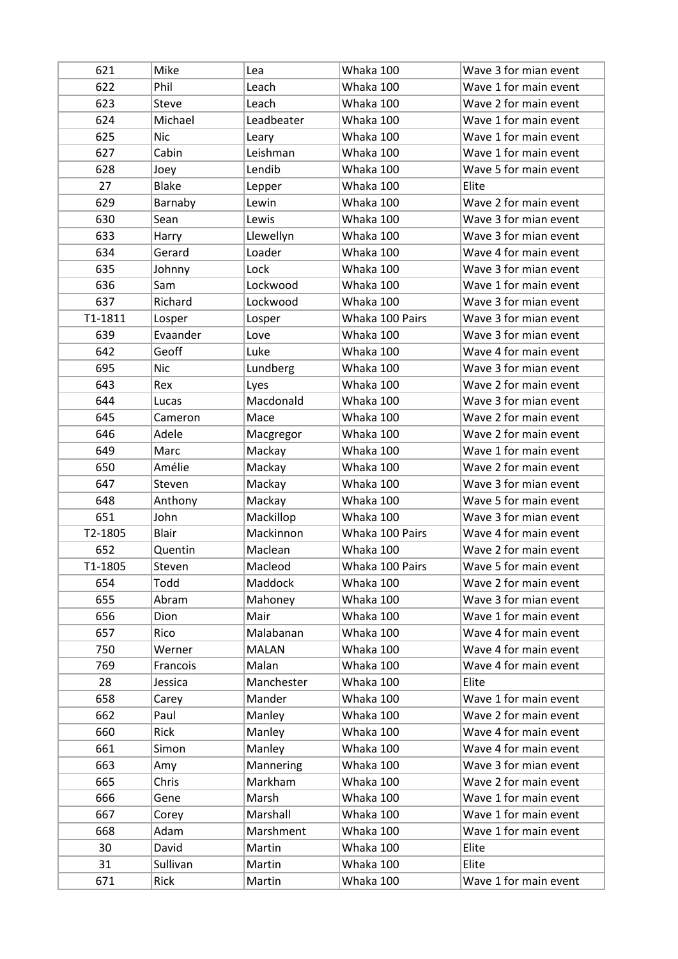| 621     | Mike         | Lea          | Whaka 100       | Wave 3 for mian event |
|---------|--------------|--------------|-----------------|-----------------------|
| 622     | Phil         | Leach        | Whaka 100       | Wave 1 for main event |
| 623     | <b>Steve</b> | Leach        | Whaka 100       | Wave 2 for main event |
| 624     | Michael      | Leadbeater   | Whaka 100       | Wave 1 for main event |
| 625     | <b>Nic</b>   | Leary        | Whaka 100       | Wave 1 for main event |
| 627     | Cabin        | Leishman     | Whaka 100       | Wave 1 for main event |
| 628     | Joey         | Lendib       | Whaka 100       | Wave 5 for main event |
| 27      | <b>Blake</b> | Lepper       | Whaka 100       | Elite                 |
| 629     | Barnaby      | Lewin        | Whaka 100       | Wave 2 for main event |
| 630     | Sean         | Lewis        | Whaka 100       | Wave 3 for mian event |
| 633     | Harry        | Llewellyn    | Whaka 100       | Wave 3 for mian event |
| 634     | Gerard       | Loader       | Whaka 100       | Wave 4 for main event |
| 635     | Johnny       | Lock         | Whaka 100       | Wave 3 for mian event |
| 636     | Sam          | Lockwood     | Whaka 100       | Wave 1 for main event |
| 637     | Richard      | Lockwood     | Whaka 100       | Wave 3 for mian event |
| T1-1811 | Losper       | Losper       | Whaka 100 Pairs | Wave 3 for mian event |
| 639     | Evaander     | Love         | Whaka 100       | Wave 3 for mian event |
| 642     | Geoff        | Luke         | Whaka 100       | Wave 4 for main event |
| 695     | <b>Nic</b>   | Lundberg     | Whaka 100       | Wave 3 for mian event |
| 643     | Rex          | Lyes         | Whaka 100       | Wave 2 for main event |
| 644     | Lucas        | Macdonald    | Whaka 100       | Wave 3 for mian event |
| 645     | Cameron      | Mace         | Whaka 100       | Wave 2 for main event |
| 646     | Adele        | Macgregor    | Whaka 100       | Wave 2 for main event |
| 649     | Marc         | Mackay       | Whaka 100       | Wave 1 for main event |
| 650     | Amélie       | Mackay       | Whaka 100       | Wave 2 for main event |
| 647     | Steven       | Mackay       | Whaka 100       | Wave 3 for mian event |
| 648     | Anthony      | Mackay       | Whaka 100       | Wave 5 for main event |
| 651     | John         | Mackillop    | Whaka 100       | Wave 3 for mian event |
| T2-1805 | <b>Blair</b> | Mackinnon    | Whaka 100 Pairs | Wave 4 for main event |
| 652     | Quentin      | Maclean      | Whaka 100       | Wave 2 for main event |
| T1-1805 | Steven       | Macleod      | Whaka 100 Pairs | Wave 5 for main event |
| 654     | Todd         | Maddock      | Whaka 100       | Wave 2 for main event |
| 655     | Abram        | Mahoney      | Whaka 100       | Wave 3 for mian event |
| 656     | Dion         | Mair         | Whaka 100       | Wave 1 for main event |
| 657     | Rico         | Malabanan    | Whaka 100       | Wave 4 for main event |
| 750     | Werner       | <b>MALAN</b> | Whaka 100       | Wave 4 for main event |
| 769     | Francois     | Malan        | Whaka 100       | Wave 4 for main event |
| 28      | Jessica      | Manchester   | Whaka 100       | Elite                 |
| 658     | Carey        | Mander       | Whaka 100       | Wave 1 for main event |
| 662     | Paul         | Manley       | Whaka 100       | Wave 2 for main event |
| 660     | Rick         | Manley       | Whaka 100       | Wave 4 for main event |
| 661     | Simon        | Manley       | Whaka 100       | Wave 4 for main event |
| 663     | Amy          | Mannering    | Whaka 100       | Wave 3 for mian event |
| 665     | Chris        | Markham      | Whaka 100       | Wave 2 for main event |
| 666     | Gene         | Marsh        | Whaka 100       | Wave 1 for main event |
| 667     | Corey        | Marshall     | Whaka 100       | Wave 1 for main event |
| 668     | Adam         | Marshment    | Whaka 100       | Wave 1 for main event |
| 30      | David        | Martin       | Whaka 100       | Elite                 |
| 31      | Sullivan     | Martin       | Whaka 100       | Elite                 |
| 671     | Rick         | Martin       | Whaka 100       | Wave 1 for main event |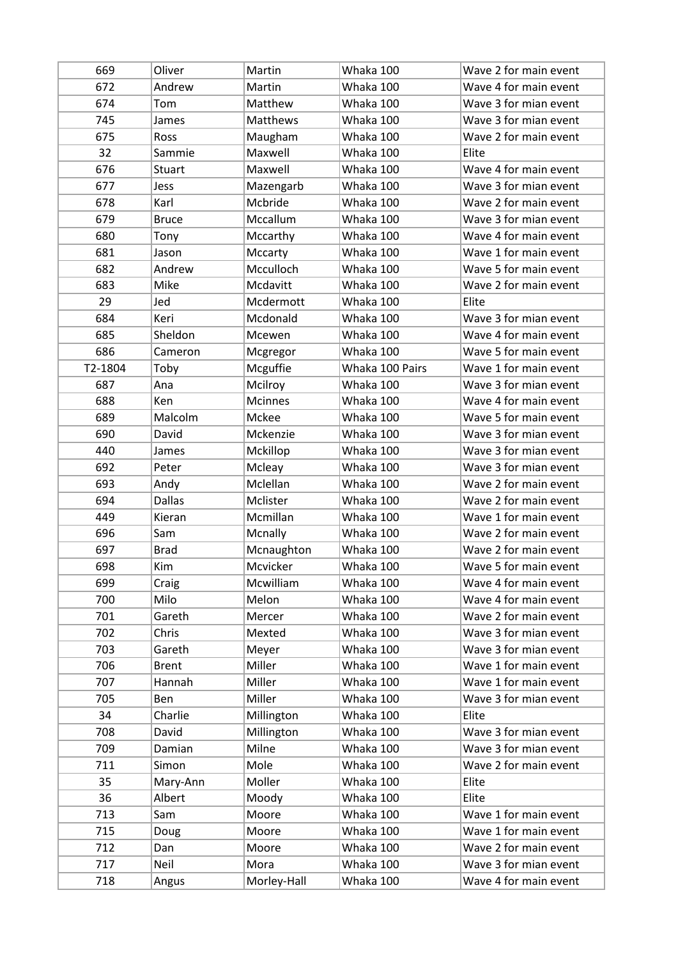| 669     | Oliver        | Martin          | Whaka 100       | Wave 2 for main event |
|---------|---------------|-----------------|-----------------|-----------------------|
| 672     | Andrew        | Martin          | Whaka 100       | Wave 4 for main event |
| 674     | Tom           | Matthew         | Whaka 100       | Wave 3 for mian event |
| 745     | James         | <b>Matthews</b> | Whaka 100       | Wave 3 for mian event |
| 675     | Ross          | Maugham         | Whaka 100       | Wave 2 for main event |
| 32      | Sammie        | Maxwell         | Whaka 100       | Elite                 |
| 676     | <b>Stuart</b> | Maxwell         | Whaka 100       | Wave 4 for main event |
| 677     | Jess          | Mazengarb       | Whaka 100       | Wave 3 for mian event |
| 678     | Karl          | Mcbride         | Whaka 100       | Wave 2 for main event |
| 679     | <b>Bruce</b>  | Mccallum        | Whaka 100       | Wave 3 for mian event |
| 680     | Tony          | Mccarthy        | Whaka 100       | Wave 4 for main event |
| 681     | Jason         | Mccarty         | Whaka 100       | Wave 1 for main event |
| 682     | Andrew        | Mcculloch       | Whaka 100       | Wave 5 for main event |
| 683     | Mike          | Mcdavitt        | Whaka 100       | Wave 2 for main event |
| 29      | Jed           | Mcdermott       | Whaka 100       | Elite                 |
| 684     | Keri          | Mcdonald        | Whaka 100       | Wave 3 for mian event |
| 685     | Sheldon       | Mcewen          | Whaka 100       | Wave 4 for main event |
| 686     | Cameron       | Mcgregor        | Whaka 100       | Wave 5 for main event |
| T2-1804 | Toby          | Mcguffie        | Whaka 100 Pairs | Wave 1 for main event |
| 687     | Ana           | Mcilroy         | Whaka 100       | Wave 3 for mian event |
| 688     | Ken           | <b>Mcinnes</b>  | Whaka 100       | Wave 4 for main event |
| 689     | Malcolm       | Mckee           | Whaka 100       | Wave 5 for main event |
| 690     | David         | Mckenzie        | Whaka 100       | Wave 3 for mian event |
| 440     | James         | Mckillop        | Whaka 100       | Wave 3 for mian event |
| 692     | Peter         | Mcleay          | Whaka 100       | Wave 3 for mian event |
| 693     | Andy          | Mclellan        | Whaka 100       | Wave 2 for main event |
| 694     | <b>Dallas</b> | Mclister        | Whaka 100       | Wave 2 for main event |
| 449     | Kieran        | Mcmillan        | Whaka 100       | Wave 1 for main event |
| 696     | Sam           | Mcnally         | Whaka 100       | Wave 2 for main event |
| 697     | <b>Brad</b>   | Mcnaughton      | Whaka 100       | Wave 2 for main event |
| 698     | Kim           | Mcvicker        | Whaka 100       | Wave 5 for main event |
| 699     | Craig         | Mcwilliam       | Whaka 100       | Wave 4 for main event |
| 700     | Milo          | Melon           | Whaka 100       | Wave 4 for main event |
| 701     | Gareth        | Mercer          | Whaka 100       | Wave 2 for main event |
| 702     | Chris         | Mexted          | Whaka 100       | Wave 3 for mian event |
| 703     | Gareth        | Meyer           | Whaka 100       | Wave 3 for mian event |
| 706     | <b>Brent</b>  | Miller          | Whaka 100       | Wave 1 for main event |
| 707     | Hannah        | Miller          | Whaka 100       | Wave 1 for main event |
| 705     | Ben           | Miller          | Whaka 100       | Wave 3 for mian event |
| 34      | Charlie       | Millington      | Whaka 100       | Elite                 |
| 708     | David         | Millington      | Whaka 100       | Wave 3 for mian event |
| 709     | Damian        | Milne           | Whaka 100       | Wave 3 for mian event |
| 711     | Simon         | Mole            | Whaka 100       | Wave 2 for main event |
| 35      | Mary-Ann      | Moller          | Whaka 100       | Elite                 |
| 36      | Albert        | Moody           | Whaka 100       | Elite                 |
| 713     | Sam           | Moore           | Whaka 100       | Wave 1 for main event |
| 715     | Doug          | Moore           | Whaka 100       | Wave 1 for main event |
| 712     | Dan           | Moore           | Whaka 100       | Wave 2 for main event |
| 717     | Neil          | Mora            | Whaka 100       | Wave 3 for mian event |
| 718     | Angus         | Morley-Hall     | Whaka 100       | Wave 4 for main event |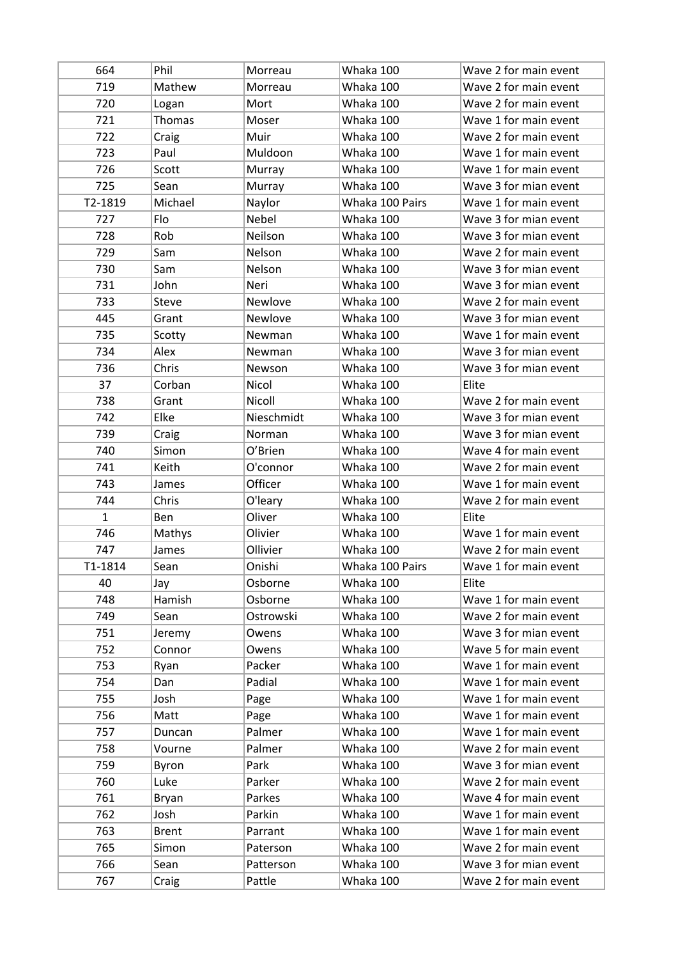| 664          | Phil         | Morreau    | Whaka 100       | Wave 2 for main event |
|--------------|--------------|------------|-----------------|-----------------------|
| 719          | Mathew       | Morreau    | Whaka 100       | Wave 2 for main event |
| 720          | Logan        | Mort       | Whaka 100       | Wave 2 for main event |
| 721          | Thomas       | Moser      | Whaka 100       | Wave 1 for main event |
| 722          | Craig        | Muir       | Whaka 100       | Wave 2 for main event |
| 723          | Paul         | Muldoon    | Whaka 100       | Wave 1 for main event |
| 726          | Scott        | Murray     | Whaka 100       | Wave 1 for main event |
| 725          | Sean         | Murray     | Whaka 100       | Wave 3 for mian event |
| T2-1819      | Michael      | Naylor     | Whaka 100 Pairs | Wave 1 for main event |
| 727          | Flo          | Nebel      | Whaka 100       | Wave 3 for mian event |
| 728          | Rob          | Neilson    | Whaka 100       | Wave 3 for mian event |
| 729          | Sam          | Nelson     | Whaka 100       | Wave 2 for main event |
| 730          | Sam          | Nelson     | Whaka 100       | Wave 3 for mian event |
| 731          | John         | Neri       | Whaka 100       | Wave 3 for mian event |
| 733          | Steve        | Newlove    | Whaka 100       | Wave 2 for main event |
| 445          | Grant        | Newlove    | Whaka 100       | Wave 3 for mian event |
| 735          | Scotty       | Newman     | Whaka 100       | Wave 1 for main event |
| 734          | Alex         | Newman     | Whaka 100       | Wave 3 for mian event |
| 736          | Chris        | Newson     | Whaka 100       | Wave 3 for mian event |
| 37           | Corban       | Nicol      | Whaka 100       | Elite                 |
| 738          | Grant        | Nicoll     | Whaka 100       | Wave 2 for main event |
| 742          | Elke         | Nieschmidt | Whaka 100       | Wave 3 for mian event |
| 739          | Craig        | Norman     | Whaka 100       | Wave 3 for mian event |
| 740          | Simon        | O'Brien    | Whaka 100       | Wave 4 for main event |
| 741          | Keith        | O'connor   | Whaka 100       | Wave 2 for main event |
| 743          | James        | Officer    | Whaka 100       | Wave 1 for main event |
| 744          | Chris        | O'leary    | Whaka 100       | Wave 2 for main event |
| $\mathbf{1}$ | Ben          | Oliver     | Whaka 100       | Elite                 |
| 746          | Mathys       | Olivier    | Whaka 100       | Wave 1 for main event |
| 747          | James        | Ollivier   | Whaka 100       | Wave 2 for main event |
| T1-1814      | Sean         | Onishi     | Whaka 100 Pairs | Wave 1 for main event |
| 40           | Jay          | Osborne    | Whaka 100       | Elite                 |
| 748          | Hamish       | Osborne    | Whaka 100       | Wave 1 for main event |
| 749          | Sean         | Ostrowski  | Whaka 100       | Wave 2 for main event |
| 751          | Jeremy       | Owens      | Whaka 100       | Wave 3 for mian event |
| 752          | Connor       | Owens      | Whaka 100       | Wave 5 for main event |
| 753          | Ryan         | Packer     | Whaka 100       | Wave 1 for main event |
| 754          | Dan          | Padial     | Whaka 100       | Wave 1 for main event |
| 755          | Josh         | Page       | Whaka 100       | Wave 1 for main event |
| 756          | Matt         | Page       | Whaka 100       | Wave 1 for main event |
| 757          | Duncan       | Palmer     | Whaka 100       | Wave 1 for main event |
| 758          | Vourne       | Palmer     | Whaka 100       | Wave 2 for main event |
| 759          | Byron        | Park       | Whaka 100       | Wave 3 for mian event |
| 760          | Luke         | Parker     | Whaka 100       | Wave 2 for main event |
| 761          | Bryan        | Parkes     | Whaka 100       | Wave 4 for main event |
| 762          | Josh         | Parkin     | Whaka 100       | Wave 1 for main event |
| 763          | <b>Brent</b> | Parrant    | Whaka 100       | Wave 1 for main event |
| 765          | Simon        | Paterson   | Whaka 100       | Wave 2 for main event |
| 766          | Sean         | Patterson  | Whaka 100       | Wave 3 for mian event |
| 767          | Craig        | Pattle     | Whaka 100       | Wave 2 for main event |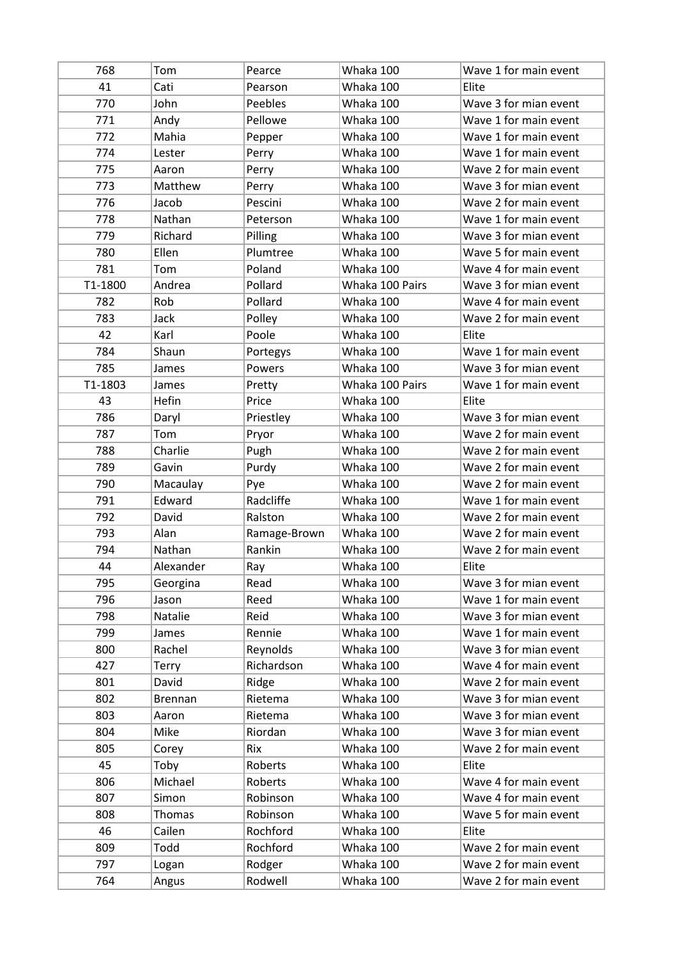| 768     | Tom            | Pearce       | Whaka 100       | Wave 1 for main event |
|---------|----------------|--------------|-----------------|-----------------------|
| 41      | Cati           | Pearson      | Whaka 100       | Elite                 |
| 770     | John           | Peebles      | Whaka 100       | Wave 3 for mian event |
| 771     | Andy           | Pellowe      | Whaka 100       | Wave 1 for main event |
| 772     | Mahia          | Pepper       | Whaka 100       | Wave 1 for main event |
| 774     | Lester         | Perry        | Whaka 100       | Wave 1 for main event |
| 775     | Aaron          | Perry        | Whaka 100       | Wave 2 for main event |
| 773     | Matthew        | Perry        | Whaka 100       | Wave 3 for mian event |
| 776     | Jacob          | Pescini      | Whaka 100       | Wave 2 for main event |
| 778     | Nathan         | Peterson     | Whaka 100       | Wave 1 for main event |
| 779     | Richard        | Pilling      | Whaka 100       | Wave 3 for mian event |
| 780     | Ellen          | Plumtree     | Whaka 100       | Wave 5 for main event |
| 781     | Tom            | Poland       | Whaka 100       | Wave 4 for main event |
| T1-1800 | Andrea         | Pollard      | Whaka 100 Pairs | Wave 3 for mian event |
| 782     | Rob            | Pollard      | Whaka 100       | Wave 4 for main event |
| 783     | Jack           | Polley       | Whaka 100       | Wave 2 for main event |
| 42      | Karl           | Poole        | Whaka 100       | Elite                 |
| 784     | Shaun          | Portegys     | Whaka 100       | Wave 1 for main event |
| 785     | James          | Powers       | Whaka 100       | Wave 3 for mian event |
| T1-1803 | James          | Pretty       | Whaka 100 Pairs | Wave 1 for main event |
| 43      | Hefin          | Price        | Whaka 100       | Elite                 |
| 786     | Daryl          | Priestley    | Whaka 100       | Wave 3 for mian event |
| 787     | Tom            | Pryor        | Whaka 100       | Wave 2 for main event |
| 788     | Charlie        | Pugh         | Whaka 100       | Wave 2 for main event |
| 789     | Gavin          | Purdy        | Whaka 100       | Wave 2 for main event |
| 790     | Macaulay       | Pye          | Whaka 100       | Wave 2 for main event |
| 791     | Edward         | Radcliffe    | Whaka 100       | Wave 1 for main event |
| 792     | David          | Ralston      | Whaka 100       | Wave 2 for main event |
| 793     | Alan           | Ramage-Brown | Whaka 100       | Wave 2 for main event |
| 794     | Nathan         | Rankin       | Whaka 100       | Wave 2 for main event |
| 44      | Alexander      | Ray          | Whaka 100       | Elite                 |
| 795     | Georgina       | Read         | Whaka 100       | Wave 3 for mian event |
| 796     | Jason          | Reed         | Whaka 100       | Wave 1 for main event |
| 798     | Natalie        | Reid         | Whaka 100       | Wave 3 for mian event |
| 799     | James          | Rennie       | Whaka 100       | Wave 1 for main event |
| 800     | Rachel         | Reynolds     | Whaka 100       | Wave 3 for mian event |
| 427     | Terry          | Richardson   | Whaka 100       | Wave 4 for main event |
| 801     | David          | Ridge        | Whaka 100       | Wave 2 for main event |
| 802     | <b>Brennan</b> | Rietema      | Whaka 100       | Wave 3 for mian event |
| 803     | Aaron          | Rietema      | Whaka 100       | Wave 3 for mian event |
| 804     | Mike           | Riordan      | Whaka 100       | Wave 3 for mian event |
| 805     | Corey          | Rix          | Whaka 100       | Wave 2 for main event |
| 45      | Toby           | Roberts      | Whaka 100       | Elite                 |
| 806     | Michael        | Roberts      | Whaka 100       | Wave 4 for main event |
| 807     | Simon          | Robinson     | Whaka 100       | Wave 4 for main event |
| 808     | Thomas         | Robinson     | Whaka 100       | Wave 5 for main event |
| 46      | Cailen         | Rochford     | Whaka 100       | Elite                 |
| 809     | Todd           | Rochford     | Whaka 100       | Wave 2 for main event |
| 797     | Logan          | Rodger       | Whaka 100       | Wave 2 for main event |
| 764     | Angus          | Rodwell      | Whaka 100       | Wave 2 for main event |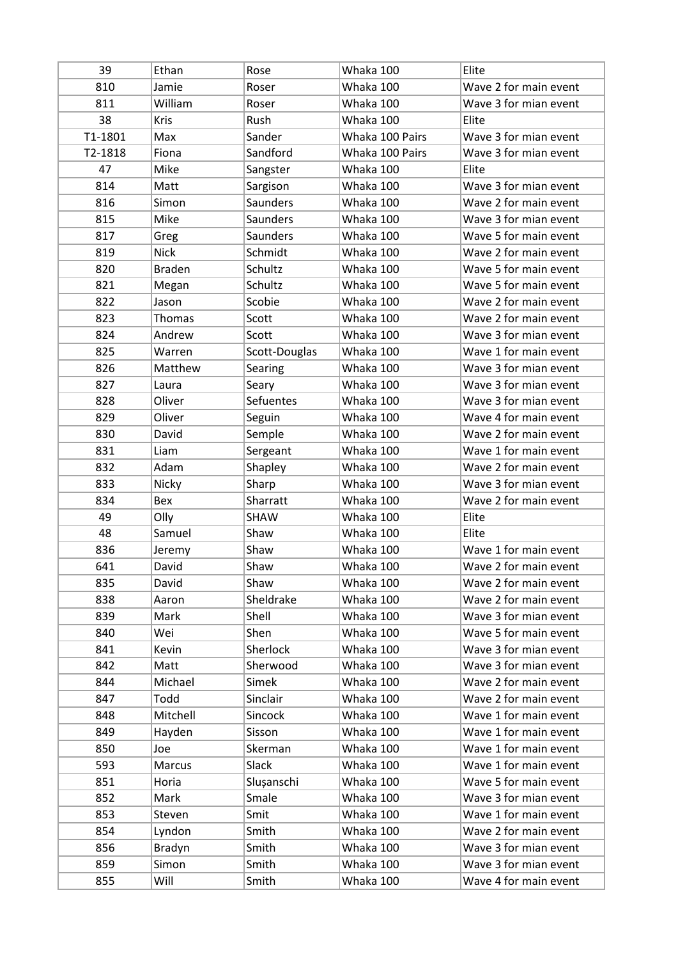| 39      | Ethan         | Rose            | Whaka 100       | Elite                 |
|---------|---------------|-----------------|-----------------|-----------------------|
| 810     | Jamie         | Roser           | Whaka 100       | Wave 2 for main event |
| 811     | William       | Roser           | Whaka 100       | Wave 3 for mian event |
| 38      | <b>Kris</b>   | Rush            | Whaka 100       | Elite                 |
| T1-1801 | Max           | Sander          | Whaka 100 Pairs | Wave 3 for mian event |
| T2-1818 | Fiona         | Sandford        | Whaka 100 Pairs | Wave 3 for mian event |
| 47      | Mike          | Sangster        | Whaka 100       | Elite                 |
| 814     | Matt          | Sargison        | Whaka 100       | Wave 3 for mian event |
| 816     | Simon         | <b>Saunders</b> | Whaka 100       | Wave 2 for main event |
| 815     | Mike          | <b>Saunders</b> | Whaka 100       | Wave 3 for mian event |
| 817     | Greg          | <b>Saunders</b> | Whaka 100       | Wave 5 for main event |
| 819     | <b>Nick</b>   | Schmidt         | Whaka 100       | Wave 2 for main event |
| 820     | <b>Braden</b> | Schultz         | Whaka 100       | Wave 5 for main event |
| 821     | Megan         | Schultz         | Whaka 100       | Wave 5 for main event |
| 822     | Jason         | Scobie          | Whaka 100       | Wave 2 for main event |
| 823     | <b>Thomas</b> | Scott           | Whaka 100       | Wave 2 for main event |
| 824     | Andrew        | Scott           | Whaka 100       | Wave 3 for mian event |
| 825     | Warren        | Scott-Douglas   | Whaka 100       | Wave 1 for main event |
| 826     | Matthew       | Searing         | Whaka 100       | Wave 3 for mian event |
| 827     | Laura         | Seary           | Whaka 100       | Wave 3 for mian event |
| 828     | Oliver        | Sefuentes       | Whaka 100       | Wave 3 for mian event |
| 829     | Oliver        | Seguin          | Whaka 100       | Wave 4 for main event |
| 830     | David         | Semple          | Whaka 100       | Wave 2 for main event |
| 831     | Liam          | Sergeant        | Whaka 100       | Wave 1 for main event |
| 832     | Adam          | Shapley         | Whaka 100       | Wave 2 for main event |
| 833     | Nicky         | Sharp           | Whaka 100       | Wave 3 for mian event |
| 834     | Bex           | Sharratt        | Whaka 100       | Wave 2 for main event |
| 49      | Olly          | SHAW            | Whaka 100       | Elite                 |
| 48      | Samuel        | Shaw            | Whaka 100       | Elite                 |
| 836     | Jeremy        | Shaw            | Whaka 100       | Wave 1 for main event |
| 641     | David         | Shaw            | Whaka 100       | Wave 2 for main event |
| 835     | David         | Shaw            | Whaka 100       | Wave 2 for main event |
| 838     | Aaron         | Sheldrake       | Whaka 100       | Wave 2 for main event |
| 839     | Mark          | Shell           | Whaka 100       | Wave 3 for mian event |
| 840     | Wei           | Shen            | Whaka 100       | Wave 5 for main event |
| 841     | Kevin         | Sherlock        | Whaka 100       | Wave 3 for mian event |
| 842     | Matt          | Sherwood        | Whaka 100       | Wave 3 for mian event |
| 844     | Michael       | Simek           | Whaka 100       | Wave 2 for main event |
| 847     | Todd          | Sinclair        | Whaka 100       | Wave 2 for main event |
| 848     | Mitchell      | Sincock         | Whaka 100       | Wave 1 for main event |
| 849     | Hayden        | Sisson          | Whaka 100       | Wave 1 for main event |
| 850     | Joe           | Skerman         | Whaka 100       | Wave 1 for main event |
| 593     | Marcus        | Slack           | Whaka 100       | Wave 1 for main event |
| 851     | Horia         | Slușanschi      | Whaka 100       | Wave 5 for main event |
| 852     | Mark          | Smale           | Whaka 100       | Wave 3 for mian event |
| 853     | Steven        | Smit            | Whaka 100       | Wave 1 for main event |
| 854     | Lyndon        | Smith           | Whaka 100       | Wave 2 for main event |
| 856     | Bradyn        | Smith           | Whaka 100       | Wave 3 for mian event |
| 859     | Simon         | Smith           | Whaka 100       | Wave 3 for mian event |
|         |               |                 | Whaka 100       | Wave 4 for main event |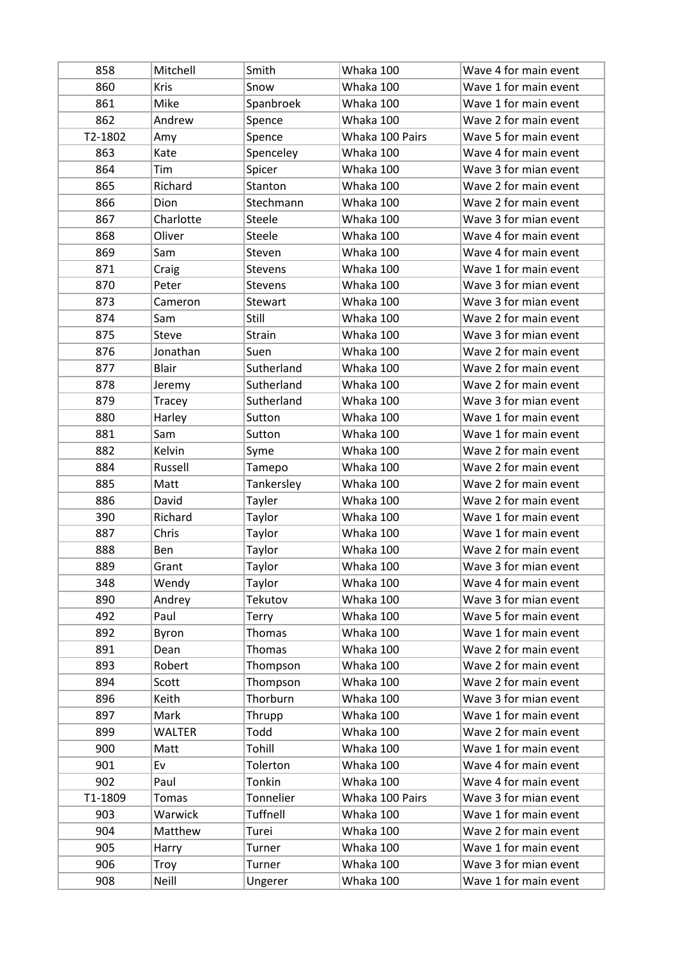| 858     | Mitchell      | Smith          | Whaka 100       | Wave 4 for main event |
|---------|---------------|----------------|-----------------|-----------------------|
| 860     | <b>Kris</b>   | Snow           | Whaka 100       | Wave 1 for main event |
| 861     | Mike          | Spanbroek      | Whaka 100       | Wave 1 for main event |
| 862     | Andrew        | Spence         | Whaka 100       | Wave 2 for main event |
| T2-1802 | Amy           | Spence         | Whaka 100 Pairs | Wave 5 for main event |
| 863     | Kate          | Spenceley      | Whaka 100       | Wave 4 for main event |
| 864     | Tim           | Spicer         | Whaka 100       | Wave 3 for mian event |
| 865     | Richard       | Stanton        | Whaka 100       | Wave 2 for main event |
| 866     | Dion          | Stechmann      | Whaka 100       | Wave 2 for main event |
| 867     | Charlotte     | Steele         | Whaka 100       | Wave 3 for mian event |
| 868     | Oliver        | Steele         | Whaka 100       | Wave 4 for main event |
| 869     | Sam           | Steven         | Whaka 100       | Wave 4 for main event |
| 871     | Craig         | Stevens        | Whaka 100       | Wave 1 for main event |
| 870     | Peter         | <b>Stevens</b> | Whaka 100       | Wave 3 for mian event |
| 873     | Cameron       | Stewart        | Whaka 100       | Wave 3 for mian event |
| 874     | Sam           | Still          | Whaka 100       | Wave 2 for main event |
| 875     | <b>Steve</b>  | Strain         | Whaka 100       | Wave 3 for mian event |
| 876     | Jonathan      | Suen           | Whaka 100       | Wave 2 for main event |
| 877     | <b>Blair</b>  | Sutherland     | Whaka 100       | Wave 2 for main event |
| 878     | Jeremy        | Sutherland     | Whaka 100       | Wave 2 for main event |
| 879     | Tracey        | Sutherland     | Whaka 100       | Wave 3 for mian event |
| 880     | Harley        | Sutton         | Whaka 100       | Wave 1 for main event |
| 881     | Sam           | Sutton         | Whaka 100       | Wave 1 for main event |
| 882     | Kelvin        | Syme           | Whaka 100       | Wave 2 for main event |
| 884     | Russell       | Tamepo         | Whaka 100       | Wave 2 for main event |
| 885     | Matt          | Tankersley     | Whaka 100       | Wave 2 for main event |
| 886     | David         | Tayler         | Whaka 100       | Wave 2 for main event |
| 390     | Richard       | Taylor         | Whaka 100       | Wave 1 for main event |
| 887     | Chris         | Taylor         | Whaka 100       | Wave 1 for main event |
| 888     | Ben           | Taylor         | Whaka 100       | Wave 2 for main event |
| 889     | Grant         | Taylor         | Whaka 100       | Wave 3 for mian event |
| 348     | Wendy         | Taylor         | Whaka 100       | Wave 4 for main event |
| 890     | Andrey        | Tekutov        | Whaka 100       | Wave 3 for mian event |
| 492     | Paul          | Terry          | Whaka 100       | Wave 5 for main event |
| 892     | Byron         | Thomas         | Whaka 100       | Wave 1 for main event |
| 891     | Dean          | <b>Thomas</b>  | Whaka 100       | Wave 2 for main event |
| 893     | Robert        | Thompson       | Whaka 100       | Wave 2 for main event |
| 894     | Scott         | Thompson       | Whaka 100       | Wave 2 for main event |
| 896     | Keith         | Thorburn       | Whaka 100       | Wave 3 for mian event |
| 897     | Mark          | Thrupp         | Whaka 100       | Wave 1 for main event |
| 899     | <b>WALTER</b> | Todd           | Whaka 100       | Wave 2 for main event |
| 900     | Matt          | Tohill         | Whaka 100       | Wave 1 for main event |
| 901     | Ev            | Tolerton       | Whaka 100       | Wave 4 for main event |
| 902     | Paul          | Tonkin         | Whaka 100       | Wave 4 for main event |
| T1-1809 | <b>Tomas</b>  | Tonnelier      | Whaka 100 Pairs | Wave 3 for mian event |
| 903     | Warwick       | Tuffnell       | Whaka 100       | Wave 1 for main event |
| 904     | Matthew       | Turei          | Whaka 100       | Wave 2 for main event |
| 905     | Harry         | Turner         | Whaka 100       | Wave 1 for main event |
| 906     | Troy          | Turner         | Whaka 100       | Wave 3 for mian event |
| 908     | Neill         | Ungerer        | Whaka 100       | Wave 1 for main event |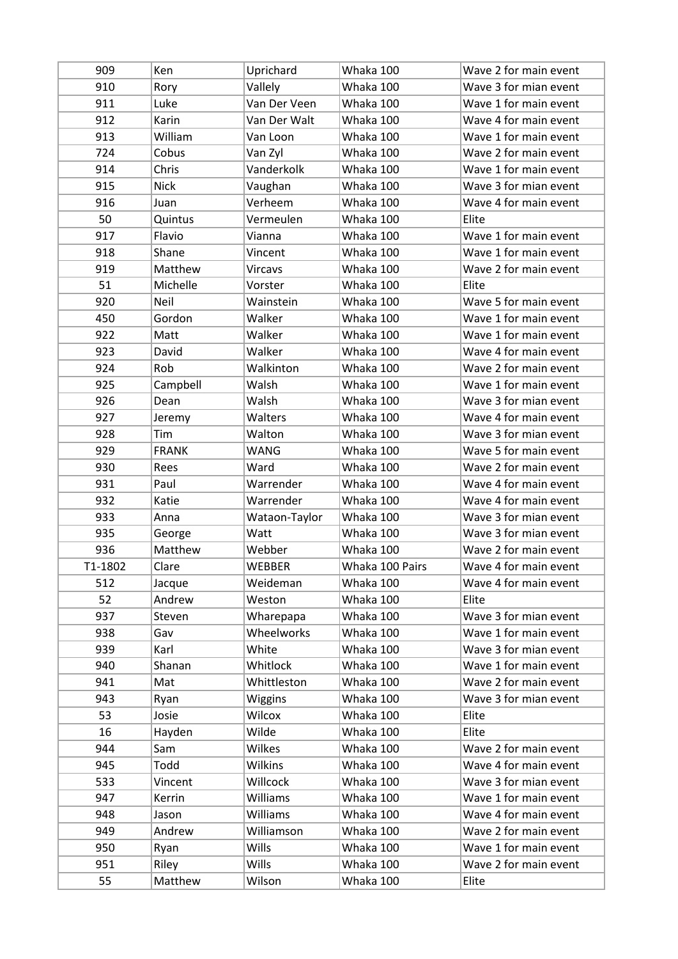| 909     | Ken          | Uprichard      | Whaka 100       | Wave 2 for main event |
|---------|--------------|----------------|-----------------|-----------------------|
| 910     | Rory         | Vallely        | Whaka 100       | Wave 3 for mian event |
| 911     | Luke         | Van Der Veen   | Whaka 100       | Wave 1 for main event |
| 912     | Karin        | Van Der Walt   | Whaka 100       | Wave 4 for main event |
| 913     | William      | Van Loon       | Whaka 100       | Wave 1 for main event |
| 724     | Cobus        | Van Zyl        | Whaka 100       | Wave 2 for main event |
| 914     | Chris        | Vanderkolk     | Whaka 100       | Wave 1 for main event |
| 915     | <b>Nick</b>  | Vaughan        | Whaka 100       | Wave 3 for mian event |
| 916     | Juan         | Verheem        | Whaka 100       | Wave 4 for main event |
| 50      | Quintus      | Vermeulen      | Whaka 100       | Elite                 |
| 917     | Flavio       | Vianna         | Whaka 100       | Wave 1 for main event |
| 918     | Shane        | Vincent        | Whaka 100       | Wave 1 for main event |
| 919     | Matthew      | <b>Vircavs</b> | Whaka 100       | Wave 2 for main event |
| 51      | Michelle     | Vorster        | Whaka 100       | Elite                 |
| 920     | Neil         | Wainstein      | Whaka 100       | Wave 5 for main event |
| 450     | Gordon       | Walker         | Whaka 100       | Wave 1 for main event |
| 922     | Matt         | Walker         | Whaka 100       | Wave 1 for main event |
| 923     | David        | Walker         | Whaka 100       | Wave 4 for main event |
| 924     | Rob          | Walkinton      | Whaka 100       | Wave 2 for main event |
| 925     | Campbell     | Walsh          | Whaka 100       | Wave 1 for main event |
| 926     | Dean         | Walsh          | Whaka 100       | Wave 3 for mian event |
| 927     | Jeremy       | Walters        | Whaka 100       | Wave 4 for main event |
| 928     | Tim          | Walton         | Whaka 100       | Wave 3 for mian event |
| 929     | <b>FRANK</b> | WANG           | Whaka 100       | Wave 5 for main event |
| 930     | Rees         | Ward           | Whaka 100       | Wave 2 for main event |
| 931     | Paul         | Warrender      | Whaka 100       | Wave 4 for main event |
| 932     | Katie        | Warrender      | Whaka 100       | Wave 4 for main event |
| 933     | Anna         | Wataon-Taylor  | Whaka 100       | Wave 3 for mian event |
| 935     | George       | Watt           | Whaka 100       | Wave 3 for mian event |
| 936     | Matthew      | Webber         | Whaka 100       | Wave 2 for main event |
| T1-1802 | Clare        | WEBBER         | Whaka 100 Pairs | Wave 4 for main event |
| 512     | Jacque       | Weideman       | Whaka 100       | Wave 4 for main event |
| 52      | Andrew       | Weston         | Whaka 100       | Elite                 |
| 937     | Steven       | Wharepapa      | Whaka 100       | Wave 3 for mian event |
| 938     | Gav          | Wheelworks     | Whaka 100       | Wave 1 for main event |
| 939     | Karl         | White          | Whaka 100       | Wave 3 for mian event |
| 940     | Shanan       | Whitlock       | Whaka 100       | Wave 1 for main event |
| 941     | Mat          | Whittleston    | Whaka 100       | Wave 2 for main event |
| 943     | Ryan         | Wiggins        | Whaka 100       | Wave 3 for mian event |
| 53      | Josie        | Wilcox         | Whaka 100       | Elite                 |
| 16      | Hayden       | Wilde          | Whaka 100       | Elite                 |
| 944     | Sam          | Wilkes         | Whaka 100       | Wave 2 for main event |
| 945     | Todd         | Wilkins        | Whaka 100       | Wave 4 for main event |
| 533     | Vincent      | Willcock       | Whaka 100       | Wave 3 for mian event |
| 947     | Kerrin       | Williams       | Whaka 100       | Wave 1 for main event |
| 948     | Jason        | Williams       | Whaka 100       | Wave 4 for main event |
| 949     | Andrew       | Williamson     | Whaka 100       | Wave 2 for main event |
| 950     | Ryan         | Wills          | Whaka 100       | Wave 1 for main event |
| 951     | Riley        | Wills          | Whaka 100       | Wave 2 for main event |
| 55      | Matthew      | Wilson         | Whaka 100       | Elite                 |